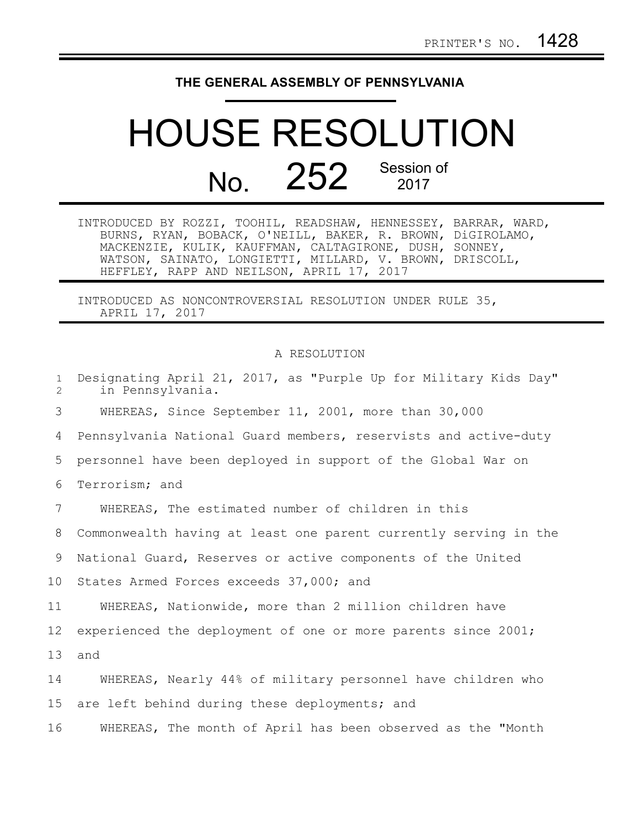## **THE GENERAL ASSEMBLY OF PENNSYLVANIA**

## HOUSE RESOLUTION No. 252 Session of

INTRODUCED BY ROZZI, TOOHIL, READSHAW, HENNESSEY, BARRAR, WARD, BURNS, RYAN, BOBACK, O'NEILL, BAKER, R. BROWN, DiGIROLAMO, MACKENZIE, KULIK, KAUFFMAN, CALTAGIRONE, DUSH, SONNEY, WATSON, SAINATO, LONGIETTI, MILLARD, V. BROWN, DRISCOLL, HEFFLEY, RAPP AND NEILSON, APRIL 17, 2017

INTRODUCED AS NONCONTROVERSIAL RESOLUTION UNDER RULE 35, APRIL 17, 2017

## A RESOLUTION

| $\mathbf{1}$<br>2 | Designating April 21, 2017, as "Purple Up for Military Kids Day"<br>in Pennsylvania. |
|-------------------|--------------------------------------------------------------------------------------|
| 3                 | WHEREAS, Since September 11, 2001, more than 30,000                                  |
| 4                 | Pennsylvania National Guard members, reservists and active-duty                      |
| 5                 | personnel have been deployed in support of the Global War on                         |
| 6                 | Terrorism; and                                                                       |
| 7                 | WHEREAS, The estimated number of children in this                                    |
| 8                 | Commonwealth having at least one parent currently serving in the                     |
| 9                 | National Guard, Reserves or active components of the United                          |
| 10                | States Armed Forces exceeds 37,000; and                                              |
| 11                | WHEREAS, Nationwide, more than 2 million children have                               |
| 12                | experienced the deployment of one or more parents since 2001;                        |
| 13                | and                                                                                  |
| 14                | WHEREAS, Nearly 44% of military personnel have children who                          |
| 15                | are left behind during these deployments; and                                        |
| 16                | WHEREAS, The month of April has been observed as the "Month                          |